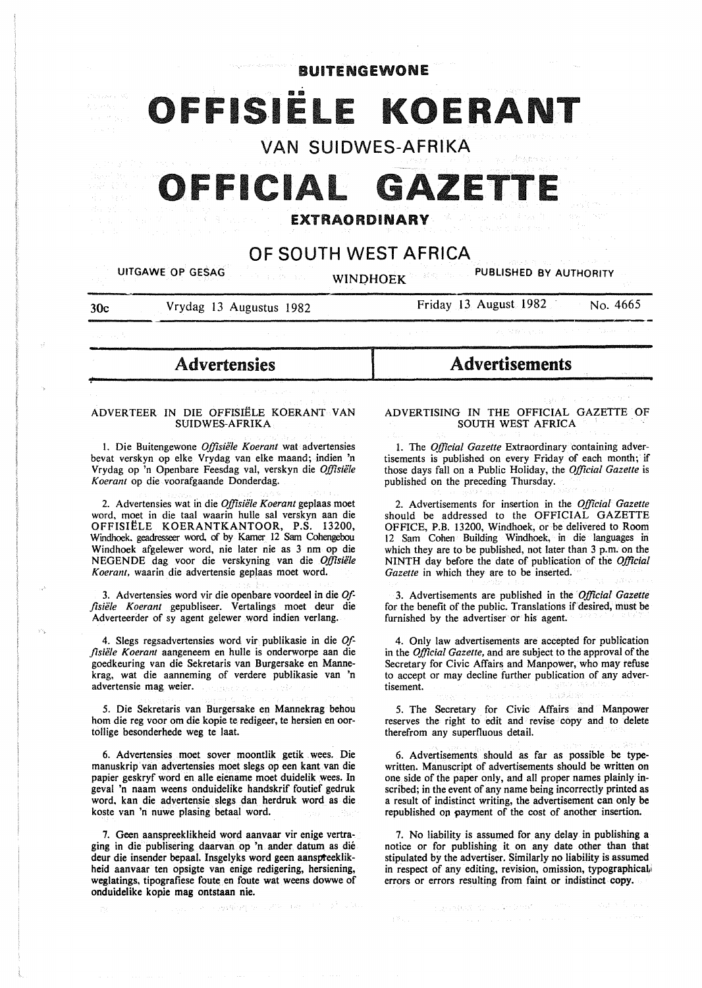# BUITENGEWONE FFISIËLE KOERANT

VAN SUIDWES-AFRIKA

### IFFICIAL GAZET

### EXTRAORDINARY

### OF SOUTH WEST AFRICA

UITGAWE OP GESAG WINDHOEK WINDHOEK

30c Vrydag 13 Augustus 1982

~

Friday 13 August 1982 No. 4665

**Advertensies** 

#### ADVERTEER IN DIE OFFISIËLE KOERANT VAN SUIDWES-AFRIKA

l. Die Buitengewone *Offisiele Koerant* wat advertensies bevat verskyn op elke Vrydag van elke maand; indien 'n Vrydag op 'n Openbare Feesdag val, verskyn die *Offisiele K oerant* op die voorafgaande Donderdag.

2. Advertensies wat in die *Offisiele Koerant* geplaas moet word, moet in die taal waarin hulle sal verskyn aan die OFFISIELE KOERANTKANTOOR, P.S. 13200, Windhoek. geadresseer word, of by Kamer 12 Sam Cohengebou Windhoek afgelewer word, nie later nie as 3 nm op die NEGENDE dag voor die verskyning van die *Offisiele Koerant,* waarin die advertensie geplaas moet word.

3. Advertensies word vir die openbare voordeel in die *Offlsiele Koerant* gepubliseer. Vertalings moet deur die Adverteerder of sy agent gelewer word indien verlang.

4. Slegs regsadvertensies word vir publikasie in die Of*flsiiile Koerant* aangeneem en hulle is onderworpe aan die goedkeuring van die Sekretaris van Burgersake en Mannekrag, wat die aanneming of verdere publikasie van 'n advertensie mag weier.

5. Die Sekretaris van Burgersake en Mannekrag behou hom die reg voor om die kopie te redigeer, te hersien en oortollige besonderhede weg te laat.

6. Advertensies moet sover moontlik getik . wees. Die manuskrip van advertensies moet slegs op een kant van die papier geskryf word en aile eiename moet duidelik wees. In geval 'n naam weens onduidelike handskrif foutief gedruk. word, kan die advertensie slegs dan herdruk word as die koste van 'n nuwe plasing betaal word.

7. Geen aanspreeklikheid word aanvaar vir enige vertraging in die publisering daarvan op 'n ander datum as die deur die insender bepaal. Insgelyks word geen aanspteeklikheid aanvaar ten opsigte van enige redigering, hersiening, weglatings, tipografiese foute en foute wat weens dowwe of onduidelike kopie mag ontstaan nie.

i agusti e ynt

of the case of the Block Wa

## Advertisements

ADVERTISING IN THE OFFICIAL GAZETTE OF SOUTH WEST AFRICA

1. The *Official Gazette* Extraordinary containing advertisements is published on every Friday of each month; if those days fall on a Public Holiday, the *Official Gazette* is published on the preceding Thursday.

2. Advertisements for insertion in the *Official Gazette*  should be addressed to the OFFICIAL GAZETTE OFFICE, P.B. 13200, Windhoek, or be delivered to Room 12 Sam Cohen Building Windhoek, in die languages in which they are to be published, not later than 3 p.m. on the NINTH day before the date of publication of the *Official Gazette* in which they are to be inserted.

3. Advertisements are published in the *Official Gazette* for the benefit of the public. Translations if desired, must be furnished by the advertiser or his agent.

4. Only law advertisements are accepted for publication in the *Official Gazette,* and are subject to the approval of the Secretary for Civic Affairs and Manpower, who may refuse to accept or may decline further publication of any advertisement.

*5.* The Secretary for Civic Affairs and Manpower reserves the right to edit and revise copy and to delete therefrom any superfluous detail.

6. Advertisements should as far as possible be typewritten. Manuscript of advertisements should be written on one side of the paper only, and all proper names plainly inscribed; in the event of any name being incorrectly printed as a result of indistinct writing, the advertisement can only be republished on payment of the cost of another insertion.

7. No liability is assumed for any delay in publishing a notice or for publishing it on any date other than that stipulated by the advertiser. Similarly no liability is assumed in respect of any editing, revision, omission, typographical, errors or errors resulting from faint or indistinct copy.

> Egyptian for a Nobel of T adul 19 formal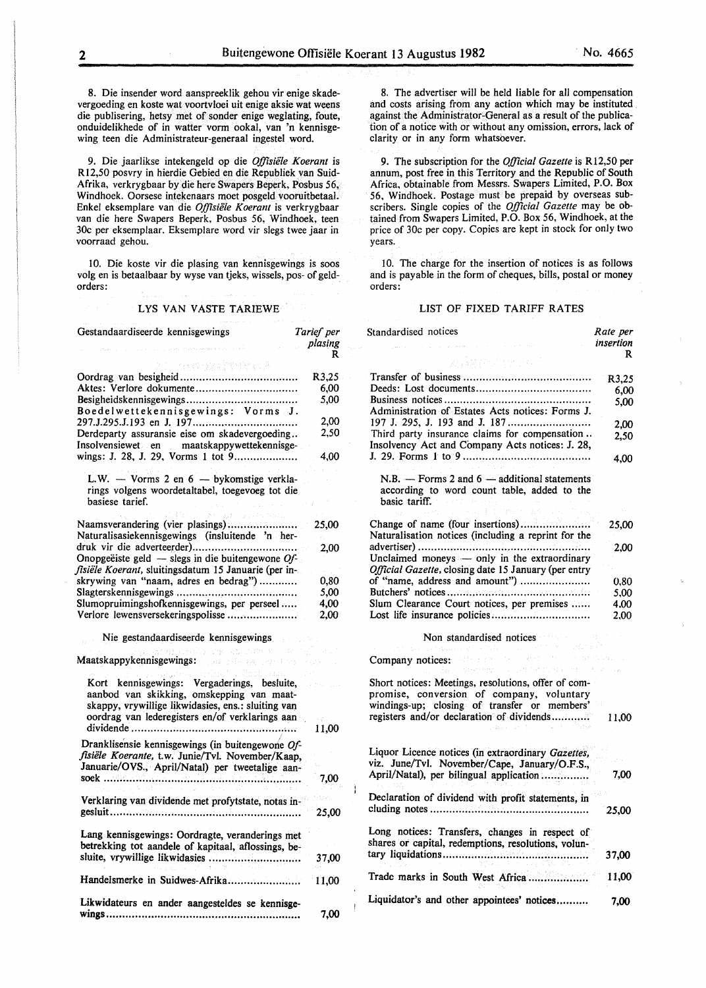Í

8. Die insender word aanspreeklik gehou vir enige skadevergoeding en koste wat voortvloei uit enige aksie wat weens die publisering, hetsy met of sonder enige weglating, foute, onduidelikhede of in watter vorm ookal, van 'n kennisgewing teen die Administrateur-generaal ingestel word.

9. Die jaarlikse intekengeld op die *Offisiiile Koerant* is Rl2,50 posvry in hierdie Gebied en die Republiek van Suid-Afrika, verkrygbaar by die here Swapers Beperk, Posbus 56, Windhoek. Oorsese intekenaars moet posgeld vooruitbetaal. Enkel eksemplare van die *Offisiële Koerant* is verkrygbaar van die here Swapers Beperk, Posbus 56, Windhoek, teen 30c per eksemplaar. Eksemplare word vir slegs twee jaar in voorraad gehou.

10. Die koste vir die plasing van kennisgewings is soos volg en is betaalbaar by wyse van tjeks, wissels, pos- of geldorders:

#### LYS VAN VASTE TARIEWE

| Gestandaardiseerde kennisgewings                                                                               | Tarief per  |
|----------------------------------------------------------------------------------------------------------------|-------------|
|                                                                                                                | plasing     |
|                                                                                                                | R           |
| astrony (1994) Paul A                                                                                          |             |
|                                                                                                                | R3,25       |
| Aktes: Verlore dokumente                                                                                       | 6,00        |
|                                                                                                                | 5,00        |
| Boedelwettekennisgewings: Vorms J.                                                                             | 2.00        |
| Derdeparty assuransie eise om skadevergoeding                                                                  | 2,50        |
| Insolvensiewet en maatskappywettekennisge-                                                                     |             |
| wings: J. 28, J. 29, Vorms 1 tot 9                                                                             | 4,00        |
|                                                                                                                |             |
| L.W. - Vorms 2 en 6 - bykomstige verkla-                                                                       |             |
| rings volgens woordetaltabel, toegevoeg tot die                                                                |             |
| basiese tarief.                                                                                                |             |
| Tardie Andreas St<br>ag Eli                                                                                    |             |
| Naamsverandering (vier plasings)                                                                               | 25,00       |
| Naturalisasiekennisgewings (insluitende 'n her-                                                                |             |
|                                                                                                                | 2.00        |
| Onopgeëiste geld — slegs in die buitengewone $Qf$ -                                                            |             |
| fisiële Koerant, sluitingsdatum 15 Januarie (per in-                                                           |             |
| skrywing van "naam, adres en bedrag")                                                                          | 0.80        |
|                                                                                                                | 5,00        |
| Slumopruimingshofkennisgewings, per perseel                                                                    | 4,00        |
| Verlore lewensversekeringspolisse                                                                              | 2,00        |
| Nie gestandaardiseerde kennisgewings                                                                           |             |
| Maatskappykennisgewings: All and the Manuscript of the Manuscript of the Manuscript of the Manuscript of the M |             |
| Kort kennisgewings: Vergaderings, besluite,<br>aanbod van skikking, omskepping van maat-                       |             |
| skappy, vrywillige likwidasies, ens.: sluiting van                                                             |             |
| oordrag van lederegisters en/of verklarings aan                                                                |             |
|                                                                                                                | 11,00<br>J, |
| Dranklisensie kennisgewings (in buitengewone Of-                                                               |             |
| fisiële Koerante, t.w. Junie/Tvl. November/Kaap,<br>Januarie/OVS., April/Natal) per tweetalige aan-            |             |
|                                                                                                                |             |
|                                                                                                                | 7,00        |
| Verklaring van dividende met profytstate, notas in-                                                            |             |
|                                                                                                                |             |
|                                                                                                                | 25,00       |
| Lang kennisgewings: Oordragte, veranderings met                                                                |             |
| betrekking tot aandele of kapitaal, aflossings, be-                                                            |             |
| sluite, vrywillige likwidasies                                                                                 |             |
|                                                                                                                | 37,00       |
| Handelsmerke in Suidwes-Afrika                                                                                 |             |
|                                                                                                                | 11,00       |
| Likwidateurs en ander aangesteldes se kennisge-                                                                |             |
| $wings$                                                                                                        | 7,00        |
| .                                                                                                              |             |

8. The advertiser will be held liable for all compensation and costs arising from any action which may be instituted against the Administrator-General as a result of the publication of a notice with or without any omission, errors, lack of clarity or in any form whatsoever.

9. The subscription for the *Official Gazette* is Rl2,50 per annum, post free in this Territory and the Republic of South Africa, obtainable from Messrs. Swapers Limited, P.O. Box 56, Windhoek. Postage must be prepaid by overseas subscribers. Single copies of the *Official Gazette* may be obtained from Swapers Limited, P.O. Box 56, Windhoek, at the price of 30c per copy. Copies are kept in stock for only two years.

10. The charge for the insertion of notices is as follows and is payable in the form of cheques, bills, postal or money orders:

#### LIST OF FIXED TARIFF RATES

| Standardised notices                                                                                                          | Rate per       |
|-------------------------------------------------------------------------------------------------------------------------------|----------------|
|                                                                                                                               | insertion<br>R |
| สเด็ดสนใจของเกิ                                                                                                               |                |
|                                                                                                                               | R3,25          |
|                                                                                                                               | 6.00           |
| Administration of Estates Acts notices: Forms J.                                                                              | 5.00           |
|                                                                                                                               | 2.00           |
| Third party insurance claims for compensation                                                                                 | 2,50           |
| Insolvency Act and Company Acts notices: J. 28,                                                                               | 4.00           |
|                                                                                                                               |                |
| $N.B.$ - Forms 2 and $6$ - additional statements<br>according to word count table, added to the<br>basic tariff.<br>新 オンプタルーム |                |
| Change of name (four insertions)                                                                                              | 25,00          |
| Naturalisation notices (including a reprint for the                                                                           |                |
|                                                                                                                               | 2.00           |
| Unclaimed moneys - only in the extraordinary                                                                                  |                |
| Official Gazette, closing date 15 January (per entry<br>of "name, address and amount")                                        |                |
|                                                                                                                               | 0,80           |
| Slum Clearance Court notices, per premises                                                                                    | 5,00<br>4.00   |
| Lost life insurance policies                                                                                                  | 2,00           |
| Value of the<br>Non standardised notices<br>in de march                                                                       |                |
| Company notices: Salt and State State State                                                                                   | is a most      |
| s percent of primary et al.                                                                                                   |                |
| Short notices: Meetings, resolutions, offer of com-<br>promise, conversion of company, voluntary                              |                |
| windings-up; closing of transfer or members'                                                                                  |                |
| registers and/or declaration of dividends                                                                                     | 11,00          |
| Liquor Licence notices (in extraordinary Gazettes,                                                                            |                |
| viz. June/Tvl. November/Cape, January/O.F.S.,                                                                                 |                |
| April/Natal), per bilingual application                                                                                       | 7,00           |
| Declaration of dividend with profit statements, in                                                                            |                |
|                                                                                                                               | 25,00          |
| Long notices: Transfers, changes in respect of<br>shares or capital, redemptions, resolutions, volun-                         |                |
|                                                                                                                               | 37,00          |
|                                                                                                                               | 11,00          |
| Liquidator's and other appointees' notices                                                                                    | 7,00           |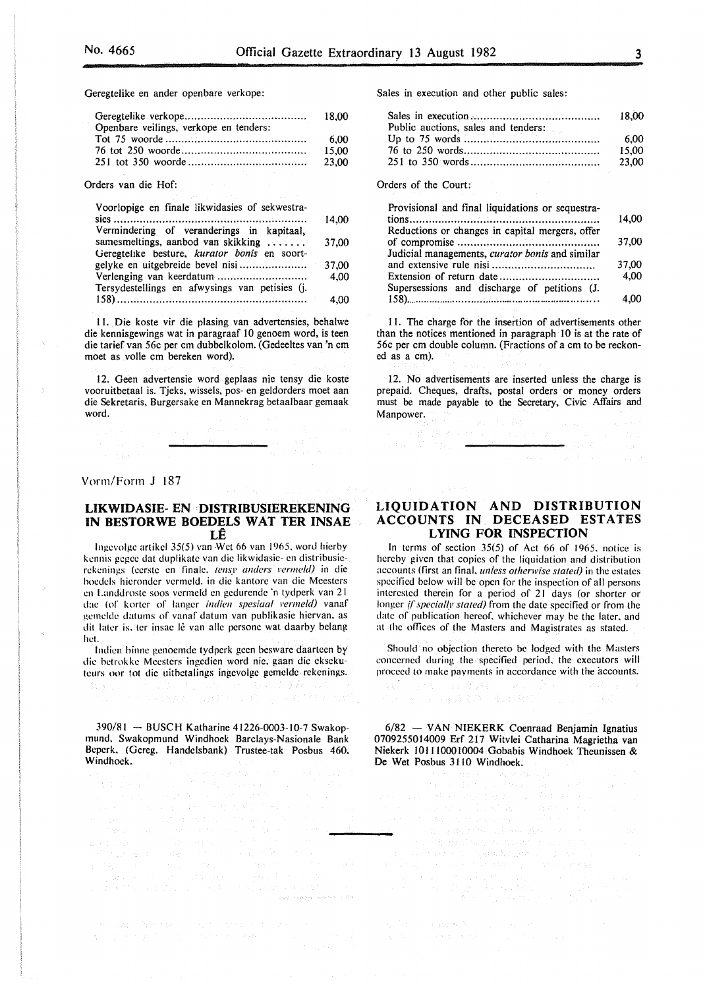Geregtelike en ander openbare verkope:

| Openbare veilings, verkope en tenders: |       |
|----------------------------------------|-------|
|                                        | -6.00 |
|                                        | 15.00 |
|                                        | 23.00 |
|                                        |       |

Orders van die Hof:

| Voorlopige en finale likwidasies of sekwestra- |       |
|------------------------------------------------|-------|
|                                                | 14.00 |
| Vermindering of veranderings in kapitaal,      |       |
| samesmeltings, aanbod van skikking             | 37.00 |
| Geregtelike besture, kurator bonis en soort-   |       |
|                                                |       |
|                                                | 4.00  |
| Tersydestellings en afwysings van petisies (j. |       |
|                                                | 4.00  |

11. Die koste vir die p1asing van advertensies, behalwe die kennisgewings wat in paragraaf 10 genoem word, is teen die tarief van 56c per em dubbelkolom. (Gedeeltes van 'n em moet as volle em bereken word).

12. Geen advertensie word geplaas nie tensy die koste vooruitbetaal is. Tjeks, wissels, pos- en geldorders moet aan die Sekretaris, Burgersake en Mannekrag betaalbaar gemaak word.

#### Vorm/Form J 187

 $\mathbb{W}_\mathcal{N}(\mathcal{N})$  .

#### LIKWIDASIE- EN · DISTRIBUSIEREKENING IN BESTORWE BOEDELS WAT TER INSAE LE

lngevolge artikcl 35(5) van Wet 66 van 1965. word hicrby kennis gegce dat duplikatc van die likwidasie- en distribusierekenings (eerste en finale, *tensy anders vermeld)* in die hoedels hicrondcr vermcld. in die kantorc van die Mccsters en Landdroste soos vermeld en gedurende 'n tydperk van 21 dae (of korter of langer *indien spesiaal vermeld)* vanaf gemclde datums of vanaf datum van publikasic hicrvan. as dit later is. ter insae lê van alle persone wat daarby belang hel.

Indien binne genoemde tydperk geen besware daarteen by die hetrokkc Mccstcrs ingcdicn word nic. gaan die cksekuteurs oor tot die uitbetalings ingevolge gemelde rekenings.

医粘液 计变数

says conservations

390/81 -- BUSCH Katharine 41226-0003-10-7 Swakopmund. Swakopmund Windhoek Barclays-Nasionale Bank Bcperk. (Gereg. Handelsbank) Trustee-tak Posbus 460. Windhoek.

Sales in execution and other public sales:

|                                     | 18.00 |
|-------------------------------------|-------|
| Public auctions, sales and tenders: |       |
|                                     | 6.00  |
|                                     | 15.00 |
|                                     | 23.00 |
|                                     |       |

Orders of the Court:

سال *بردار ای ب*رده ب

| Provisional and final liquidations or sequestra- |       |
|--------------------------------------------------|-------|
|                                                  | 14,00 |
| Reductions or changes in capital mergers, offer  |       |
|                                                  | 37,00 |
| Judicial managements, curator bonis and similar  |       |
|                                                  | 37,00 |
| Extension of return date                         | 4.00  |
| Supersessions and discharge of petitions (J.     |       |
|                                                  |       |

II. The charge for the insertion of advertisements other than the notices mentioned in paragraph 10 is at the rate of 56c per em double column. (Fractions of a em to be reckoned as a em).

12. No advertisements are inserted unless the charge is prepaid. Cheques, drafts, postal orders or money orders must be made payable to the Secretary, Civic Affairs and Manpower.  $(\mu_T - \lambda_T) / (\log)$ 

#### LIQUIDATION AND DISTRIBUTION ACCOUNTS IN DECEASED ESTATES LYING FOR INSPECTION

In terms of section 35(5) of Act 66 of 1965. notice is hereby given that copies of the liquidation and distribution accounts (first an final. *unless otherwise stated)* in the estates specified below will be open for the inspection of all persons interested therein for a period of 21 days (or shorter or longer *if specially stated*) from the date specified or from the date of publication hereof. whichever may be the later. and at the offices of the Masters and Magistrates as stated.

Should no objection thereto be lodged with the Masters concerned during the specified period. the executors will proceed to make payments in accordance with the accounts.

→数/ 1993年 - 44 業界に 1994年 - 通り 1998年<br>アントルタンの2番号 - 第4488号 - 1111年 - 1134年

6/82 - VAN NIEKERK Coenraad Benjamin Ignatius 0709255014009 Erf 217 Witvlei Catharina Magrietha van Niekerk 1011100010004 Gobabis Windhoek Theunissen & De Wet Posbus 3110 Windhoek.

an Guerra Salah Selatan<br>Pada Branan Selatan success and in the interpretations are

s fan 'n geprecht

 $\tau_{\rm{1}}$  is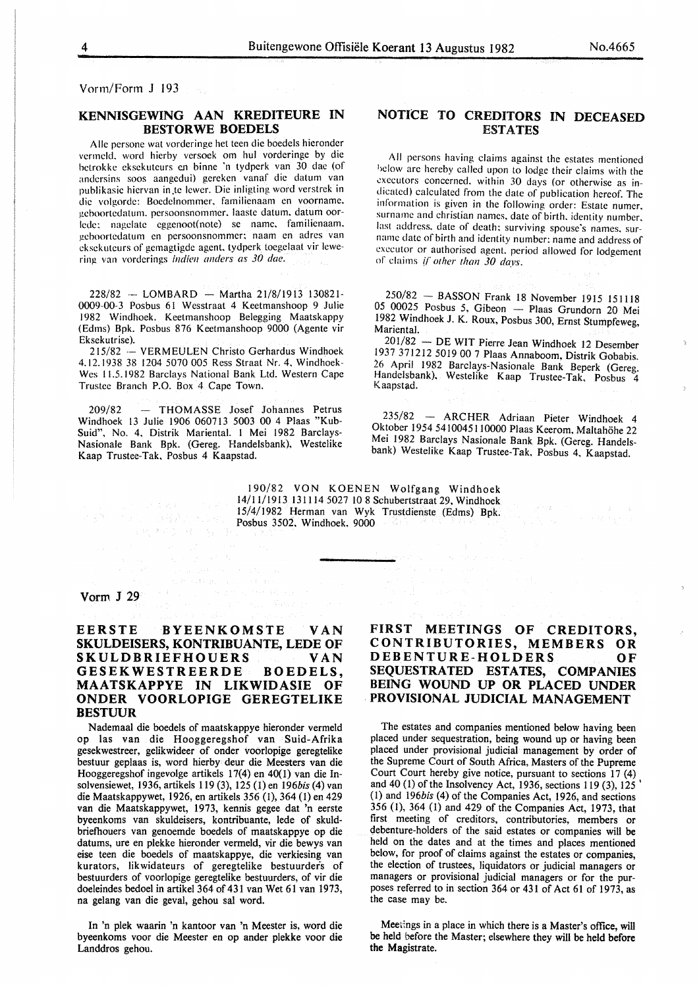Vorm/Form J 193

#### KENNISGEWING AAN KREDITEURE IN BESTORWE BOEDELS

Aile persone wat vorderinge het teen die boedels hieronder vermeld. word hierby versoek om hul vorderinge by die betrokke eksekuteurs en binne 'n tydperk van 30 dae (of andersins soos aangedui) gereken vanaf die datum van publikasie hiervan in te lewer. Die inligting word verstrek in die volgorde: Boedelnommcr. familienaam en voorname. )!eboortedatum. persoonsnommer. laaste datum. datum oorlede: nagelate eggenoot(note) se name. familienaam. )!eboortedatum en persoonsnommer: naam en adres van eksckuteurs of gemagtigde agent, tydperk toegelaat vir lewering van vorderings *indien anders as 30 dae.* 

 $228/82 - LOMBARD - Martha 21/8/1913 130821 -$ 0009-00-3 Posbus 61 Wesstraat 4 Keetmanshoop 9 Julie 1982 Windhoek. Keetmanshoop Belegging Maatskappy (Edms) Bpk. Posbus 876 Keetmanshoop 9000 (Agente vir Eksekutrise).

215/82 --VERMEULEN Christo Gerhardus Windhoek 4.12.1938 38 1204 5070 005 Ress Straat Nr. 4, Windhoek-Wes 11.5.1982 Barclays National Bank Ltd. Western Cape Trustee Branch P.O. Box 4 Cape Town.

209/82 - THOMASSE Josef Johannes Petrus Windhoek 13 Julie 1906 060713 5003 00 4 Plaas "Kub-Suid", No. 4, Distrik Mariental. I Mei 1982 Barclays-Nasionale Bank Bpk. (Gereg. Handelsbank), Westelike Kaap Trustee-Tak, Posbus 4 Kaapstad.

2021年4月2日 NBC 83-74

#### NOTICE TO CREDITORS IN DECEASED ESTATES

All persons having claims against the estates mentioned 'lelow are hereby called upon to lodge their claims with the executors concerned. within 30 days (or otherwise as indicated) calculated from the date of publication hereof. The information is given in the following order: Estate numer. surname and christian names, date of birth. identity number. last address. date of death: surviving spouse's names. surname date of birth and identity number: name and address of executor or authorised agent. period allowed for lodgement or claims if *other than 30 days.* 

250/82 - BASSON Frank I8 November 19I5 I51118 05 00025 Posbus 5, Gibeon - Plaas Grundorn 20 Mei 1982 Windhoek J. K. Roux, Posbus 300, Ernst Stumpfeweg, Mariental.

201/82 -DE WIT Pierre Jean Windhoek 12 Desember 1937 371212 5019 00 7 Plaas Annaboom, Distrik Gobabis. 26 April 1982 Barclays-Nasionale Bank Beperk (Gereg. Handelsbank), Westelike Kaap Trustee-Tak, Posbus 4 Kaapstad.

235/82 - ARCHER Adriaan Pieter Windhoek 4 Oktober 1954 5410045110000 Plaas Keerom, Maltahöhe 22 Mei 1982 Barclays Nasionale Bank Bpk. (Gereg. Handelsbank) Westelike Kaap Trustee-Tak, Posbus 4, Kaapstad.

190/82 VON KOENEN Wolfgang Windhoek 14/1 I/1913 131 I 14 5027 10 8 Schubertstraat 29, Windhoek 15/4/1982 Herman van Wyk Trustdienste (Edms) Bpk. Posbus 3502, Windhoek, 9000

#### Vorm J 29

#### EERSTE BYEENKOMSTE VAN SKULDEISERS, KONTRIBUANTE, LEDE OF SKULDBRIEFHOUERS VAN SKULDBRIEFHOUERS GESEKWESTREERDE BOEDELS, MAATSKAPPYE IN LIKWIDASIE OF ONDER VOORLOPIGE GEREGTELIKE BESTUUR

Nademaal die boedels of maatskappye hieronder vermeld op las van die Hooggeregshof van Suid-Afrika gesekwestreer, gelikwideer of onder voorlopige geregtelike bestuur geplaas is, word hierby deur die Meesters van die Hooggeregshof ingevolge artikels I 7(4) en 40(1) van die Insolvensiewet, 1936, artikels 119 (3), 125 (1) en *196bis* (4) van die Maatskappywet, 1926, en artikels 356 (I), 364 (I) en 429 van die Maatskappywet, 1973, kennis gegee dat 'n eerste byeenkoms van skuldeisers, kontribuante, lede of skuldbriefhouers van genoemde boedels of maatskappye op die datums, ure en plekke hieronder vermeld, vir die bewys van eise teen die boedels of maatskappye, die verkiesing van kurators, likwidateurs of geregtelike bestuurders of bestuurders of voorlopige geregtelike bestuurders, of vir die doeleindes bedoel in artikel 364 of 431 van Wet 61 van 1973, na gelang van die geval, gehou sal word.

In 'n plek waarin 'n kantoor van 'n Meester is, word die byeenkoms voor die Meester en op ander plekke voor die Landdros gehou.

#### FIRST MEETINGS OF CREDITORS, CONTRIBUTORIES, MEMBERS OR DEBENTURE-HOLDERS OF SEQUESTRATED ESTATES, COMPANIES BEING WOUND UP OR PLACED UNDER . PROVISIONAL JUDICIAL MANAGEMENT

The estates and companies mentioned below having been placed under sequestration, being wound up or having been placed under provisional judicial management by order of the Supreme Court of South Africa, Masters of the Pupreme Court Court hereby give notice, pursuant to sections 17 (4) and 40 (I) of the Insolvency Act, 1936, sections 119 (3), 125' (I) and 196bis (4) of the Companies Act, 1926, and sections 356 (I), 364 (I) and 429 of the Companies Act, 1973, that first meeting of creditors, contributories, members or debenture-holders of the said estates or companies will be held on the dates and at the times and places mentioned below, for proof of claims against the estates or companies, the election of trustees, liquidators or judicial managers or managers or provisional judicial managers or for the purposes referred to in section 364 or 431 of Act 61 of 1973, as the case may be.

Meetings in a place in which there is a Master's office, will be held before the Master; elsewhere they will be held before the Magistrate.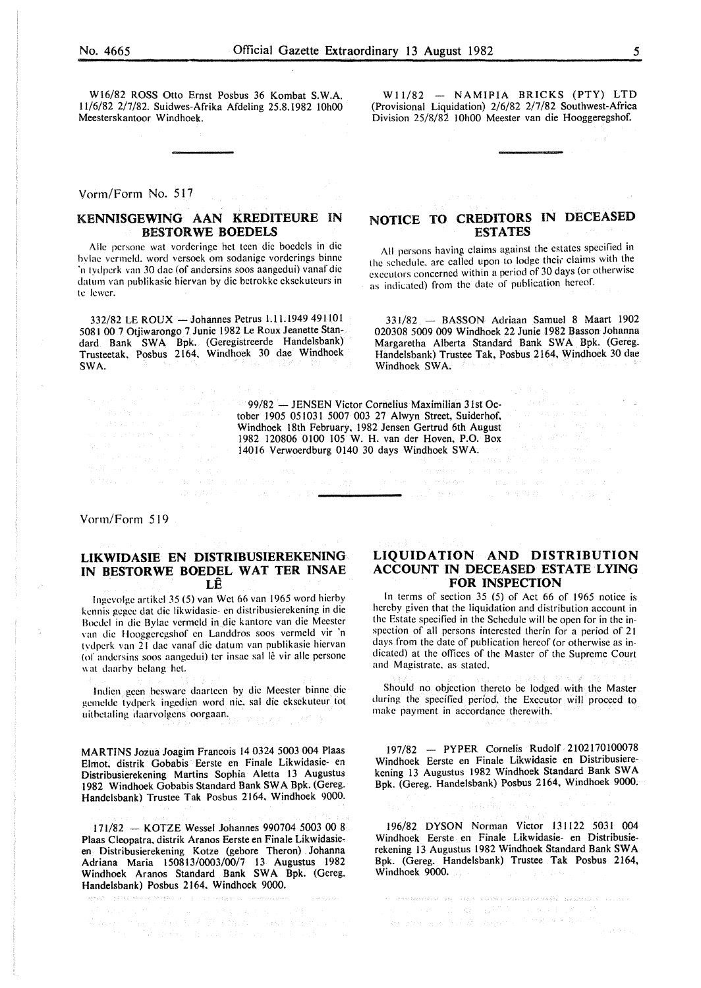W16/82 ROSS Otto Ernst Posbus 36 Kombat S.W.A. 11/6/82 2/7/82. Suidwes-Afrika Afdeling 25.8.1982 10h00 Meesterskantoor Windhoek.

Vorm/Form No. 517

#### KENNISGEWING AAN KREDITEURE IN BESTORWE BOEDELS

Aile pcrsonc wat vordcringc hct teen die boedels in die hvlae vermeld. word versock om sodanige vorderings binne 'n tydpcrk van 30 dac (of andersins soos aangedui) vanaf die datum van publikasie hiervan by die betrokke cksekuteurs in te !ewer.

332/82 LEROUX -Johannes Petrus 1.11.1949 491101 5081 00 7 Otjiwarongo 7 Junie 1982 Le Roux Jeanette Standard Bank SWA Bpk. (Geregistreerde Hande1sbank) Trusteetak. Posbus 2164, Windhoek 30 dae Windhoek SWA.

#### $W11/82 - NAMIPIA$  BRICKS (PTY) LTD (Provisional Liquidation) 2/6/82 2/7/82 Southwest-Africa Division 25/8/82 IOhOO Meester van die Hooggeregshof.

#### NOTICE TO CREDITORS IN DECEASED **ESTATES**

All persons having claims against the estates specified in the schedule, are called upon to lodge their claims with the executors concerned within a period of 30 days (or otherwise as indicated) from the date of publication hereof.

331/82 - SASSON Adriaan Samuel 8 Maart 1902 020308 5009 009 Windhoek 22 Junie 1982 Sasson Johanna Margaretha Alberta Standard Bank SWA Bpk. (Gereg. Handelsbank) Trustee Tak, Posbus 2164, Windhoek 30 dae Windhoek SWA.

99/82 - JENSEN Victor Cornelius Maximilian 31st October 1905 051031 5007 003 27 Alwyn Street, Suiderhof, Windhoek 18th February, 1982 Jensen Gertrud 6th August  $\frac{99}{82}$  - JENSEN Victor Cornelius Maximilian 31st October 1905 051031 5007 003 27 Alwyn Street, Suiderhof,<br>Windhoek 18th February, 1982 Jensen Gertrud 6th August<br>1982 120806 0100 105 W. H. van der Hoven, P.O. Box<br>1401 14016 Verwoerdburg 0140 30 days Windhoek SWA.

المُستسلم (1986) الله الله عليه

Vorm/Form 519

#### UKWIDASIE EN DISTRIBUSIEREKENING IN BESTORWE BOEDEL WAT TER INSAE LE

lngevolge artikel 35 (5) van Wet66 van 1965 word hierby kennis gegee dat die likwidasie- en distribusierekening in die Bocdcl in die Bvlac vcrmcld in die kantorc van die Meester van die Hooggcrcgshof en Landdros soos vermeld vir 'n tvdpcrk van 21 dac vanaf die datum van publikasic hiervan (of andersins soos aangedui) ter insae sal lê vir alle persone wat daarby belang het.

lndicn gcen hcswarc daartccn by die Meester binne die gcmcldc tydpcrk ingcdicn word nic. sal die eksekuteur lot uithetaling daarvolgens oorgaan.

MARTINS Jozua Joagim Francois 14 0324 5003 004 Plaas Elmot, distrik Gobabis Eerste en Finale Likwidasie- en Distribusierekening Martins Sophia Aletta 13 Augustus 1982 Windhoek Gobabis Standard Bank SW A Bpk. (Gereg. Handelsbank) Trustee Tak Posbus 2164, Windhoek 9000.

171/82 - KOTZE Wessel Johannes 990704 5003 00 8 Plaas Cleopatra, distrik Aranos Eerste en Finale Likwidasieen Distribusierekening Kotze (gebore Theron) Johanna Adriana Maria 150813/0003/00/7 13 Augustus 1982 Windhoek Aranos Standard Bank SWA Bpk. (Gereg. Handelsbank) Posbus 2164. Windhoek 9000.

 $\mathcal{E}_{\mathcal{C}}^{\mathcal{L}}\mathcal{E}_{\mathcal{C}}^{\mathcal{L}}=-\frac{1}{2} \partial_{\mathcal{C}}\mathcal{F}_{\mathcal{C}}^{\mathcal{L}}\mathcal{F}_{\mathcal{C}}^{\mathcal{L}}\mathcal{F}_{\mathcal{C}}^{\mathcal{L}}\mathcal{F}_{\mathcal{C}}^{\mathcal{L}}\mathcal{F}_{\mathcal{C}}^{\mathcal{L}}\mathcal{F}_{\mathcal{C}}^{\mathcal{L}}\mathcal{F}_{\mathcal{C}}^{\mathcal{L}}\mathcal{F}_{\mathcal{C}}^{\mathcal{L}}\mathcal{F}_{\mathcal{C}}^$  $\gamma_{\rm eff}$  are a parameter

#### LIQUIDATION AND DISTRIBUTION ACCOUNT IN DECEASED ESTATE LYING FOR INSPECTION

In terms of section 35 (5) of Act 66 of 1965 notice is hereby given that the liquidation and distribution account in the Estate specified in the Schedule will be open for in the inspection of all persons interested therin for a period of 21 days from the date of publication hereof (or otherwise as indicated) at the offices of the Master of the Supreme Court and Magistrate. as stated.

Should no objection thereto be lodged with the Master during the specified period. the Executor will proceed to make payment in accordance therewith.

197/82 - PYPER Cornelis Rudolf 2102170100078 Windhoek Eerste en Finale Likwidasie en Distribusierekening 13 Augustus 1982 Windhoek Standard Bank SW A Bpk. (Gereg. Handelsbank) Posbus 2164, Windhoek 9000.

196/82 DYSON Norman Victor 131122 5031 004 Windhoek Eerste en Finale Likwidasie- en Distribusierekening 13 Augustus 1982 Windhoek Standard Bank SW A Bpk. (Gereg. Handelsbank) Trustee Tak Posbus 2164, Windhoek 9000.

e a conte de la conte de la partide de la conte de la facta de la conte de la facta de la conte de la facta de<br>La partide de la facta de la facta de la facta de la facta de la facta de la facta de la facta de la facta de والمتفاوي والمراجع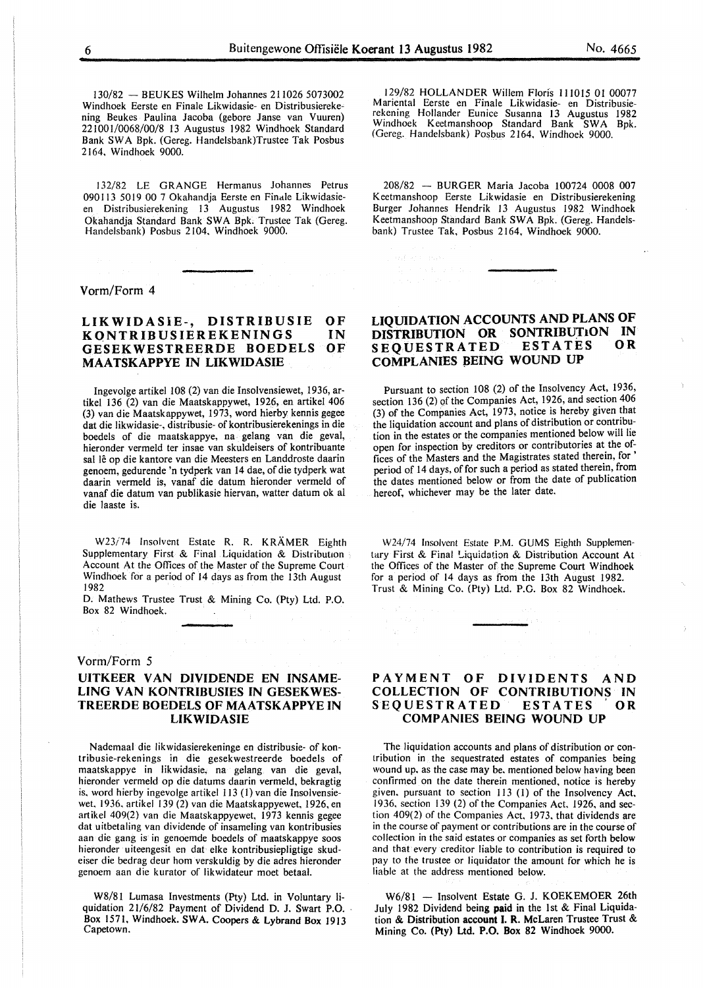130/82 - BEUKES Wilhelm Johannes 211026 5073002 Windhoek Eerste en Finale Likwidasie- en Distribusierekening Beukes Paulina Jacoba (gebore Janse van Vuuren) 221001/0068/00/8 13 Augustus 1982 Windhoek Standard Bank SWA Bpk. (Gereg. Handelsbank)Trustee Tak Posbus 2164, Windhoek 9000.

132/82 LE GRANGE Hermanus Johannes Petrus 090113 5019 00 7 Okahandja Eerste en Finale Likwidasieen Distribusierekening 13 Augustus 1982 Windhoek Okahandja Standard Bank SW A Bpk. Trustee Tak (Gereg. Handelsbank) Posbus 2 104, Windhoek 9000.

Vorm/Form 4

#### LIKWIDASiE-, DISTRIBUSIE KQNTRIBUSIEREKENINGS GESEKWESTREERDE BOEDELS MAATSKAPPYE IN LIKWIDASIE OF IN OF

Ingevolge artikel 108 (2) van die Insolvensiewet, 1936, artikel 136 (2) van die Maatskappywet, 1926, en artikel 406 (3) van die Maatskappywet, 1973, word hierby kennis gegee dat die likwidasie-, distribusie- of kontribusierekenings in die boedels of die maatskappye, na gelang van die geval, hieronder vermeld ter insae van skuldeisers of kontribuante sal lê op die kantore van die Meesters en Landdroste daarin genoem, gedurende 'n tydperk van 14 dae, of die tydperk wat daarin vermeld is, vanaf die datum hieronder vermeld of vanaf die datum van publikasie hiervan, watter datum ok al die laaste is.

W23/74 Insolvent Estate R. R. KRÄMER Eighth Supplementary First & Final Liquidation & Distribution Account At the Offices of the Master of the Supreme Court Windhoek for a period of 14 days as from the 13th August 1982

D. Mathews Trustee Trust & Mining Co. (Pty) Ltd. P.O. Box 82 Windhoek.

#### Vorm/Form *5*

#### UITKEER VAN DIVIDENDE EN INSAME-LING VAN KONTRIBUSIES IN GESEKWES-TREERDE BOEDELS OF MAATSKAPPYE IN LIKWIDASIE

Nademaal die likwidasierekeninge en distribusie- of kontribusie-rekenings in die gesekwestreerde boedels of maatskappye in likwidasie, na gelang van die geval, hieronder vermeld op die datums daarin vermeld, bekragtig is. word hierby ingevolge artikel 113 (1) van die Insolvensiewet, 1936. artikel 139 (2) van die Maatskappyewet, 1926, en artikel 409(2) van die Maatskappyewet, 1973 kennis gegee dat uitbetaling van dividende of insameling van kontribusies aan die gang is in genoemde boedels of maatskappye soos hieronder uiteengesit en dat elke kontribusiepligtige skudeiser die bedrag deur hom verskuldig by die adres hieronder genoem aan die kurator of likwidateur moet betaal.

W8/8I Lumasa Investments (Pty) Ltd. in Voluntary liquidation 21/6/82 Payment of Dividend D. J. Swart P.O. - Box 1571, Windhoek. SWA. Coopers & Lybrand Box 1913 Capetown.

129/82 HOLLANDER Willem Floris 111015 01 00077 Mariental Eerste en Finale Likwidasie- en Distribusierekening Hollander Eunice Susanna 13 Augustus 1982 Windhoek Keetmanshoop Standard Bank SWA Bpk. (Gereg. Handelsbank) Posbus 2164, Windhoek 9000.

208/82 - BURGER Maria Jacoba 100724 0008 007 Keetmanshoop Eerste Likwidasie en Distribusierekening Burger Johannes Hendrik 13 Augustus 1982 Windhoek Keetmanshoop Standard Bank SWA Bpk. (Gereg. Handelsbank) Trustee Tak, Posbus 2164, Windhoek 9000.

#### LIQUIDATION ACCOUNTS AND PLANS OF DISTRIBUTION OR SONTRIBUTION IN **SEQUESTRATED** COMPLANIES BEING WOUND UP

Pursuant to section 108 (2) of the Insolvency Act, 1936, section 136 (2) of the Companies Act, 1926, and section 406 (3) of the Companies Act, 1973, notice is hereby given that the liquidation account and plans of distribution or contribution in the estates or the companies mentioned below will lie open for inspection by creditors or contributories at the offices of the Masters and the Magistrates stated therein, for ' period of 14 days, of for such a period as stated therein, from the dates mentioned below or from the date of publication hereof, whichever may be the later date.

W24/74 Insolvent Estate P.M. GUMS Eighth Supplementary First & Final Liquidation & Distribution Account At the Offices of the Master of the Supreme Court Windhoek for a period of 14 days as from the 13th August 1982. Trust & Mining Co. (Pty) Ltd. P.O. Box 82 Windhoek.

#### PAYMENT OF DIVIDENTS AND COLLECTION OF CONTRIBUTIONS IN SEQUESTRATED ESTATES OR COMPANIES BEING WOUND UP

The liquidation accounts and plans of distribution or contribution in the sequestrated estates of companies being wound up, as the case may be. mentioned below having been confirmed on the date therein mentioned, notice is hereby given, pursuant to section 113 (I) of the Insolvency Act, 1936, section 139 (2) of the Companies Act. 1926, and section 409(2) of the Companies Act, 1973, that dividends are in the course of payment or contributions are in the course of collection in the said estates or companies as set forth below and that every creditor liable to contribution is required to pay to the trustee or liquidator the amount for which he is liable at the address mentioned below.

W6/81 - Insolvent Estate G. J. KOEKEMOER 26th July 1982 Dividend being paid in the 1st & Final Liquidation & Distribution account 1. R. McLaren Trustee Trust & Mining Co. (Pty) Ltd. P.O. Box 82 Windhoek 9000.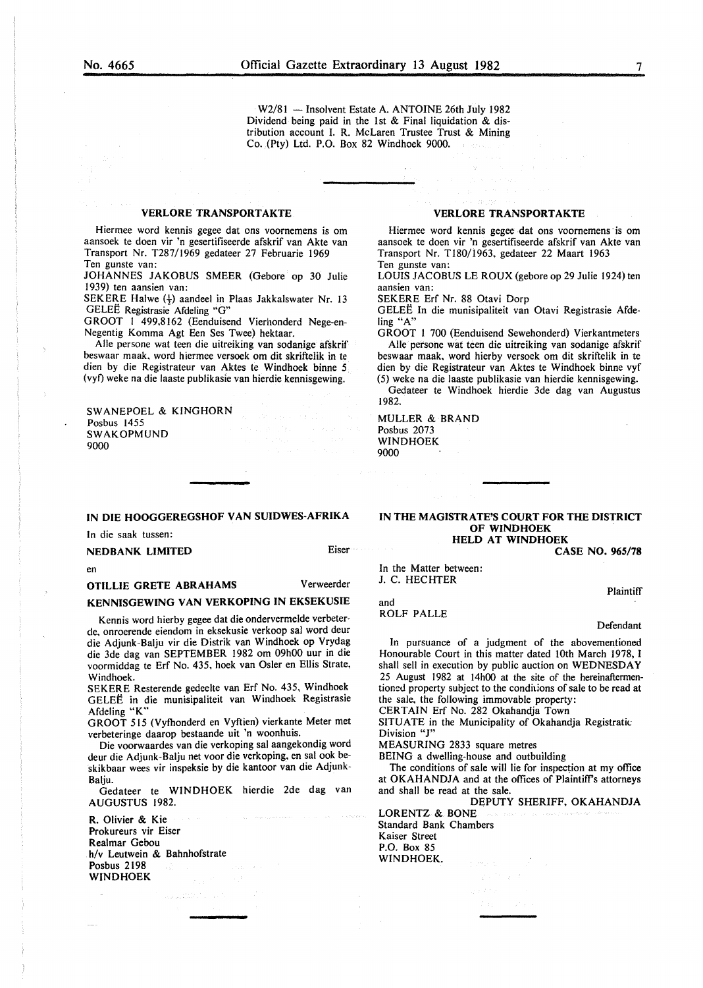W2/81 - Insolvent Estate A. ANTOINE 26th July 1982 Dividend being paid in the 1st  $\&$  Final liquidation  $\&$  distribution account I. R. McLaren Trustee Trust & Mining Co. (Pty) Ltd. P.O. Box 82 Windhoek 9000.

#### **VERLORE TRANSPORTAKTE**

Hiermee word kennis gegee dat ons voornemens is om aansoek te doen vir 'n gesertifiseerde afskrif van Akte van Transport Nr. T287/I969 gedateer 27 Februarie 1969 Ten gunste van:

JOHANNES JAKOBUS SMEER (Gebore op 30 Julie 1939) ten aansien van:

SEKERE Halwe  $(\frac{1}{2})$  aandeel in Plaas Jakkalswater Nr. 13 GELEE Registrasie Afdeling "G"

GROOT I 499,8162 (Eenduisend Vierhonderd Nege-en-Negentig Komma Agt Een Ses Twee) hektaar.

Aile persone wat teen die uitreiking van sodanige afskrif beswaar maak, word hiermee versoek om dit skriftelik in te dien by die Registrateur van Aktes te Windhoek binne *5*  (vyf) weke na die laaste publikasle van hierdie kennisgewing.

SW ANEPOEL & KINGHORN Posbus 1455 SWAKOPMUND 9000

#### IN DIE HOOGGEREGSHOF VAN SUIDWES-AFRIKA

In die saak tussen:

#### NEDBANK LIMITED Eiser

en

OTILLIE GRETE ABRAHAMS Verweerder

#### KENNISGEWING VAN VERKOPING IN EKSEKUSIE

Kennis word hierby gegee dat die ondervermelde verbeterde, onroerende eiendom in eksekusie verkoop sal word deur die Adjunk-Balju vir die Distrik van Windhoek op Vrydag die 3de dag van SEPTEMBER 1982 om 09h00 uur in die voormiddag te Erf No. 435, hoek van Osler en Ellis Strate, Windhoek.

SEKERE Resterende gedeelte van Erf No. 435, Windhoek GELEE in die munisipaliteit van Windhoek Registrasie Afdeling "K"

GROOT 515 (Vyfhonderd en Vyftien) vierkante Meter met verbeteringe daarop bestaande uit 'n woonhuis.

Die voorwaardes van die verkoping sal aangekondig word deur die Adjunk-Balju net voor die verkoping, en sal ook beskikbaar wees vir inspeksie by die kantoor van die Adjunk-Baliu.

Gedateer te WINDHOEK hierdie 2de dag van AUGUSTUS 1982.

R. Olivier & Kie Prokureurs vir Eiser Realmar Gebou h/v Leutwein & Bahnhofstrate Posbus 2198 WINDHOEK

#### VERLORE TRANSPORTAKTE

Hiermee word kennis gegee dat ons voornemens ·is om aansoek te doen vir 'n gesertifiseerde afskrif van Akte van Transport Nr. TI80/1963, gedateer 22 Maart 1963 Ten gunste van:

LOUIS JACOBUS LEROUX (gebore op 29 Julie 1924) ten aansien van:

SEKERE Erf Nr. 88 Otavi Dorp

GELEE In die munisipaliteit van Otavi Registrasie Afdeling "A"

GROOT I 700 (Eenduisend Sewehonderd) Vierkantmeters Aile persone wat teen die uitreiking van sodanige afskrif beswaar maak, word hierby versoek om dit skriftelik in te dien by die Registrateur van Aktes te Windhoek binne vyf (5) weke na die laaste publikasie van hierdie kennisgewing.

Gedateer te Windhoek hierdie 3de dag van Augustus 1982.

MULLER & BRAND Posbus 2073 WINDHOEK 9000

#### IN THE MAGISTRATE'S COURT FOR THE DISTRICT OF WINDHOEK HELD AT WINDHOEK

CASE NO. 965/78

In the Matter between: J. C. HECHTER

**Plaintiff** 

ROLF PALLE

and

Defendant

In pursuance of a judgment of the abovementioned Honourable Court in this matter dated lOth March 1978, I shall sell in execution by public auction on WEDNESDAY 25 August 1982 at 14h00 at the site of the hereinaftermentioned property subject to the conditions of sale to be read at the sale, the following immovable property:

CERTAIN Erf No. 282 Okahandja Town

SITUATE in the Municipality of Okahandja Registratic Division "J"

MEASURING 2833 square metres

BEING a dwelling-house and outbuilding

The conditions of sale will lie for inspection at my office at OKAHANDJA and at the offices of Plaintiff's attorneys and shall be read at the sale.

DEPUTY SHERIFF, OKAHANDJA LORENTZ & BONE Standard Bank Chambers Kaiser Street

P.O. Box 85 WINDHOEK.